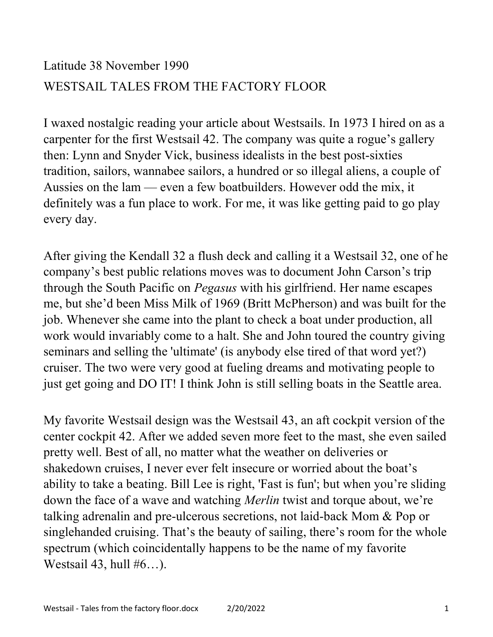## Latitude 38 November 1990 WESTSAIL TALES FROM THE FACTORY FLOOR

I waxed nostalgic reading your article about Westsails. In 1973 I hired on as a carpenter for the first Westsail 42. The company was quite a rogue's gallery then: Lynn and Snyder Vick, business idealists in the best post-sixties tradition, sailors, wannabee sailors, a hundred or so illegal aliens, a couple of Aussies on the lam — even a few boatbuilders. However odd the mix, it definitely was a fun place to work. For me, it was like getting paid to go play every day.

After giving the Kendall 32 a flush deck and calling it a Westsail 32, one of he company's best public relations moves was to document John Carson's trip through the South Pacific on Pegasus with his girlfriend. Her name escapes me, but she'd been Miss Milk of 1969 (Britt McPherson) and was built for the job. Whenever she came into the plant to check a boat under production, all work would invariably come to a halt. She and John toured the country giving seminars and selling the 'ultimate' (is anybody else tired of that word yet?) cruiser. The two were very good at fueling dreams and motivating people to just get going and DO IT! I think John is still selling boats in the Seattle area.

My favorite Westsail design was the Westsail 43, an aft cockpit version of the center cockpit 42. After we added seven more feet to the mast, she even sailed pretty well. Best of all, no matter what the weather on deliveries or shakedown cruises, I never ever felt insecure or worried about the boat's ability to take a beating. Bill Lee is right, 'Fast is fun'; but when you're sliding down the face of a wave and watching Merlin twist and torque about, we're talking adrenalin and pre-ulcerous secretions, not laid-back Mom & Pop or singlehanded cruising. That's the beauty of sailing, there's room for the whole spectrum (which coincidentally happens to be the name of my favorite Westsail 43, hull  $#6...$ ).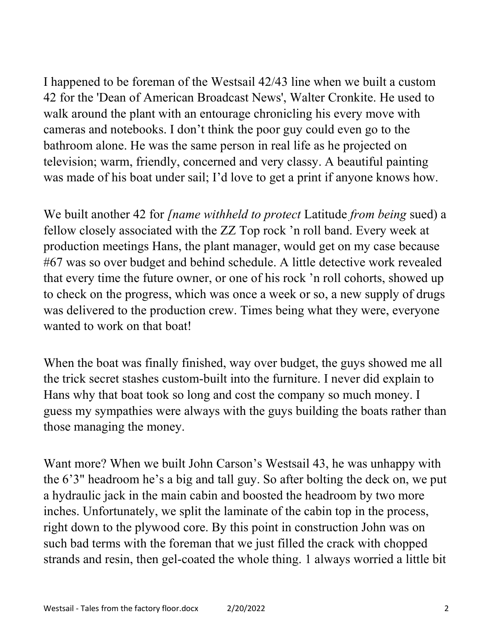I happened to be foreman of the Westsail 42/43 line when we built a custom 42 for the 'Dean of American Broadcast News', Walter Cronkite. He used to walk around the plant with an entourage chronicling his every move with cameras and notebooks. I don't think the poor guy could even go to the bathroom alone. He was the same person in real life as he projected on television; warm, friendly, concerned and very classy. A beautiful painting was made of his boat under sail; I'd love to get a print if anyone knows how.

We built another 42 for *[name withheld to protect Latitude from being sued*) a fellow closely associated with the ZZ Top rock 'n roll band. Every week at production meetings Hans, the plant manager, would get on my case because #67 was so over budget and behind schedule. A little detective work revealed that every time the future owner, or one of his rock 'n roll cohorts, showed up to check on the progress, which was once a week or so, a new supply of drugs was delivered to the production crew. Times being what they were, everyone wanted to work on that boat!

When the boat was finally finished, way over budget, the guys showed me all the trick secret stashes custom-built into the furniture. I never did explain to Hans why that boat took so long and cost the company so much money. I guess my sympathies were always with the guys building the boats rather than those managing the money.

Want more? When we built John Carson's Westsail 43, he was unhappy with the 6'3" headroom he's a big and tall guy. So after bolting the deck on, we put a hydraulic jack in the main cabin and boosted the headroom by two more inches. Unfortunately, we split the laminate of the cabin top in the process, right down to the plywood core. By this point in construction John was on such bad terms with the foreman that we just filled the crack with chopped strands and resin, then gel-coated the whole thing. 1 always worried a little bit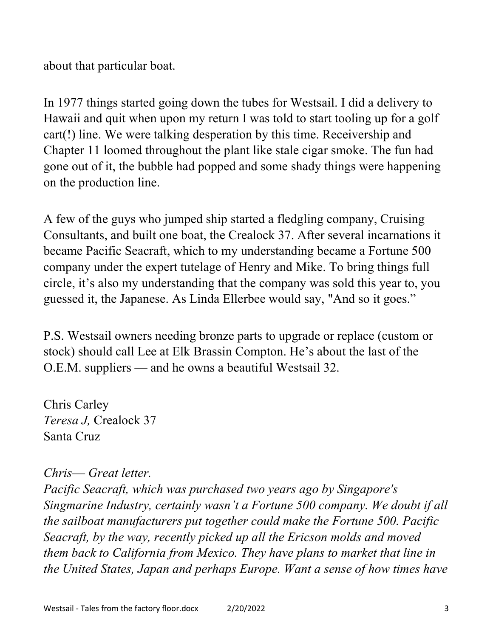about that particular boat.

In 1977 things started going down the tubes for Westsail. I did a delivery to Hawaii and quit when upon my return I was told to start tooling up for a golf cart(!) line. We were talking desperation by this time. Receivership and Chapter 11 loomed throughout the plant like stale cigar smoke. The fun had gone out of it, the bubble had popped and some shady things were happening on the production line.

A few of the guys who jumped ship started a fledgling company, Cruising Consultants, and built one boat, the Crealock 37. After several incarnations it became Pacific Seacraft, which to my understanding became a Fortune 500 company under the expert tutelage of Henry and Mike. To bring things full circle, it's also my understanding that the company was sold this year to, you guessed it, the Japanese. As Linda Ellerbee would say, "And so it goes."

P.S. Westsail owners needing bronze parts to upgrade or replace (custom or stock) should call Lee at Elk Brassin Compton. He's about the last of the O.E.M. suppliers — and he owns a beautiful Westsail 32.

Chris Carley Teresa J, Crealock 37 Santa Cruz

## Chris— Great letter.

Pacific Seacraft, which was purchased two years ago by Singapore's Singmarine Industry, certainly wasn't a Fortune 500 company. We doubt if all the sailboat manufacturers put together could make the Fortune 500. Pacific Seacraft, by the way, recently picked up all the Ericson molds and moved them back to California from Mexico. They have plans to market that line in the United States, Japan and perhaps Europe. Want a sense of how times have